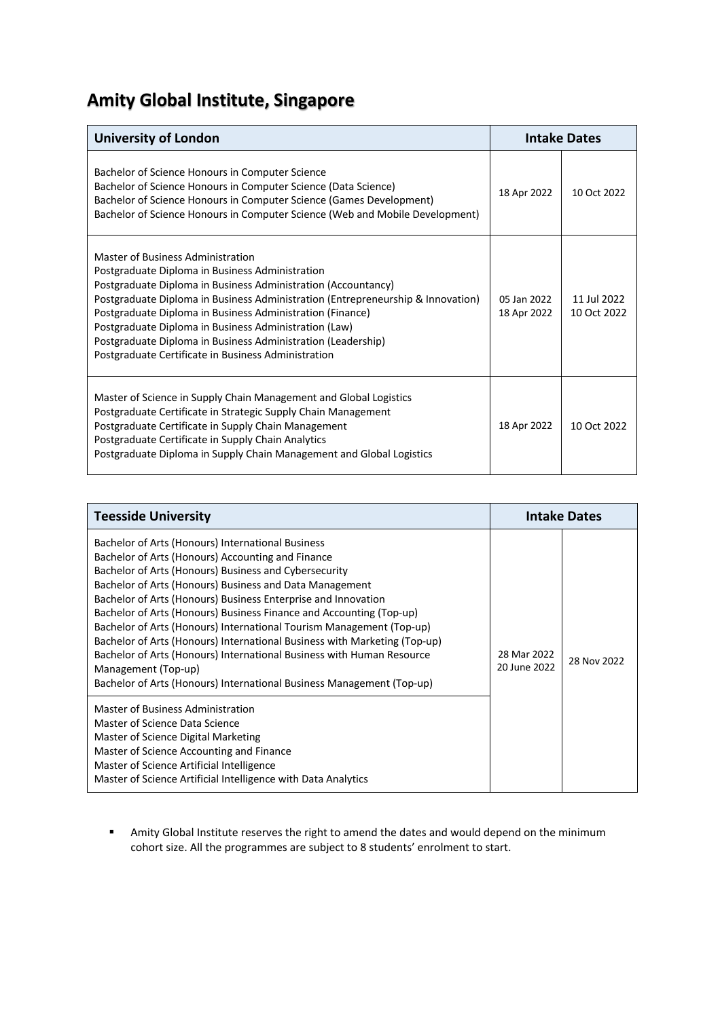## **Amity Global Institute, Singapore**

| <b>University of London</b>                                                                                                                                                                                                                                                                                                                                                                                                                                                           | <b>Intake Dates</b>        |                            |
|---------------------------------------------------------------------------------------------------------------------------------------------------------------------------------------------------------------------------------------------------------------------------------------------------------------------------------------------------------------------------------------------------------------------------------------------------------------------------------------|----------------------------|----------------------------|
| Bachelor of Science Honours in Computer Science<br>Bachelor of Science Honours in Computer Science (Data Science)<br>Bachelor of Science Honours in Computer Science (Games Development)<br>Bachelor of Science Honours in Computer Science (Web and Mobile Development)                                                                                                                                                                                                              | 18 Apr 2022                | 10 Oct 2022                |
| Master of Business Administration<br>Postgraduate Diploma in Business Administration<br>Postgraduate Diploma in Business Administration (Accountancy)<br>Postgraduate Diploma in Business Administration (Entrepreneurship & Innovation)<br>Postgraduate Diploma in Business Administration (Finance)<br>Postgraduate Diploma in Business Administration (Law)<br>Postgraduate Diploma in Business Administration (Leadership)<br>Postgraduate Certificate in Business Administration | 05 Jan 2022<br>18 Apr 2022 | 11 Jul 2022<br>10 Oct 2022 |
| Master of Science in Supply Chain Management and Global Logistics<br>Postgraduate Certificate in Strategic Supply Chain Management<br>Postgraduate Certificate in Supply Chain Management<br>Postgraduate Certificate in Supply Chain Analytics<br>Postgraduate Diploma in Supply Chain Management and Global Logistics                                                                                                                                                               | 18 Apr 2022                | 10 Oct 2022                |

| <b>Teesside University</b>                                                                                                                                                                                                                                                                                                                                                                                                                                                                                                                                                                                                                                                                                                            | <b>Intake Dates</b>         |             |
|---------------------------------------------------------------------------------------------------------------------------------------------------------------------------------------------------------------------------------------------------------------------------------------------------------------------------------------------------------------------------------------------------------------------------------------------------------------------------------------------------------------------------------------------------------------------------------------------------------------------------------------------------------------------------------------------------------------------------------------|-----------------------------|-------------|
| Bachelor of Arts (Honours) International Business<br>Bachelor of Arts (Honours) Accounting and Finance<br>Bachelor of Arts (Honours) Business and Cybersecurity<br>Bachelor of Arts (Honours) Business and Data Management<br>Bachelor of Arts (Honours) Business Enterprise and Innovation<br>Bachelor of Arts (Honours) Business Finance and Accounting (Top-up)<br>Bachelor of Arts (Honours) International Tourism Management (Top-up)<br>Bachelor of Arts (Honours) International Business with Marketing (Top-up)<br>Bachelor of Arts (Honours) International Business with Human Resource<br>Management (Top-up)<br>Bachelor of Arts (Honours) International Business Management (Top-up)<br>Master of Business Administration | 28 Mar 2022<br>20 June 2022 | 28 Nov 2022 |
| Master of Science Data Science<br>Master of Science Digital Marketing<br>Master of Science Accounting and Finance<br>Master of Science Artificial Intelligence<br>Master of Science Artificial Intelligence with Data Analytics                                                                                                                                                                                                                                                                                                                                                                                                                                                                                                       |                             |             |

**■** Amity Global Institute reserves the right to amend the dates and would depend on the minimum cohort size. All the programmes are subject to 8 students' enrolment to start.